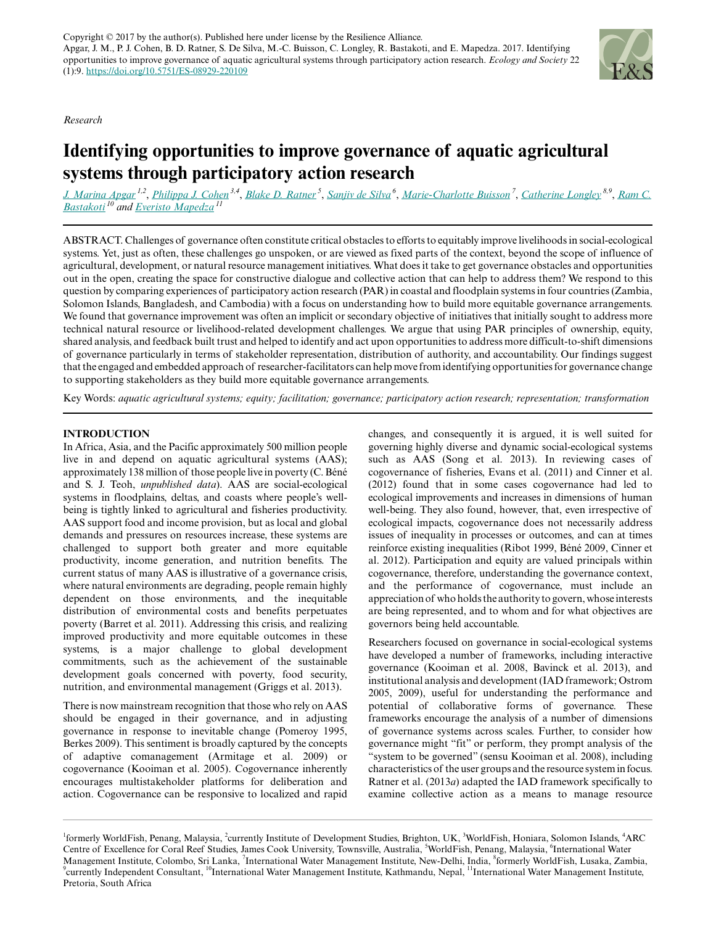*Research*



# **Identifying opportunities to improve governance of aquatic agricultural systems through participatory action research**

<u>[J. Marina Apgar](mailto:apgarm@gmail.com)<sup>1,2</sup>, [Philippa J. Cohen](mailto:p.cohen@cgiar.org)<sup>3,4</sup>, [Blake D. Ratner](mailto:b.ratner@cgiar.org)<sup>5</sup>, [Sanjiv de Silva](mailto:s.s.desilva@cgiar.org)<sup>6</sup>, [Marie-Charlotte Buisson](mailto:m.buisson@cgiar.org)<sup>7</sup>, [Catherine Longley](mailto:katelongley.consultant@gmail.com)<sup>8,9</sup>, [Ram C.](mailto:r.bastakoti@cgiar.org)</u> *[Bastakoti](mailto:r.bastakoti@cgiar.org)<sup>10</sup> and [Everisto Mapedza](mailto:e.mapedza@cgiar.org)<sup>11</sup>*

ABSTRACT. Challenges of governance often constitute critical obstacles to efforts to equitably improve livelihoods in social-ecological systems. Yet, just as often, these challenges go unspoken, or are viewed as fixed parts of the context, beyond the scope of influence of agricultural, development, or natural resource management initiatives. What does it take to get governance obstacles and opportunities out in the open, creating the space for constructive dialogue and collective action that can help to address them? We respond to this question by comparing experiences of participatory action research (PAR) in coastal and floodplain systems in four countries (Zambia, Solomon Islands, Bangladesh, and Cambodia) with a focus on understanding how to build more equitable governance arrangements. We found that governance improvement was often an implicit or secondary objective of initiatives that initially sought to address more technical natural resource or livelihood-related development challenges. We argue that using PAR principles of ownership, equity, shared analysis, and feedback built trust and helped to identify and act upon opportunities to address more difficult-to-shift dimensions of governance particularly in terms of stakeholder representation, distribution of authority, and accountability. Our findings suggest that the engaged and embedded approach of researcher-facilitators can help move from identifying opportunities for governance change to supporting stakeholders as they build more equitable governance arrangements.

Key Words: *aquatic agricultural systems; equity; facilitation; governance; participatory action research; representation; transformation*

## **INTRODUCTION**

In Africa, Asia, and the Pacific approximately 500 million people live in and depend on aquatic agricultural systems (AAS); approximately 138 million of those people live in poverty (C. Béné and S. J. Teoh, *unpublished data*). AAS are social-ecological systems in floodplains, deltas, and coasts where people's wellbeing is tightly linked to agricultural and fisheries productivity. AAS support food and income provision, but as local and global demands and pressures on resources increase, these systems are challenged to support both greater and more equitable productivity, income generation, and nutrition benefits. The current status of many AAS is illustrative of a governance crisis, where natural environments are degrading, people remain highly dependent on those environments, and the inequitable distribution of environmental costs and benefits perpetuates poverty (Barret et al. 2011). Addressing this crisis, and realizing improved productivity and more equitable outcomes in these systems, is a major challenge to global development commitments, such as the achievement of the sustainable development goals concerned with poverty, food security, nutrition, and environmental management (Griggs et al. 2013).

There is now mainstream recognition that those who rely on AAS should be engaged in their governance, and in adjusting governance in response to inevitable change (Pomeroy 1995, Berkes 2009). This sentiment is broadly captured by the concepts of adaptive comanagement (Armitage et al. 2009) or cogovernance (Kooiman et al. 2005). Cogovernance inherently encourages multistakeholder platforms for deliberation and action. Cogovernance can be responsive to localized and rapid

changes, and consequently it is argued, it is well suited for governing highly diverse and dynamic social-ecological systems such as AAS (Song et al. 2013). In reviewing cases of cogovernance of fisheries, Evans et al. (2011) and Cinner et al. (2012) found that in some cases cogovernance had led to ecological improvements and increases in dimensions of human well-being. They also found, however, that, even irrespective of ecological impacts, cogovernance does not necessarily address issues of inequality in processes or outcomes, and can at times reinforce existing inequalities (Ribot 1999, Béné 2009, Cinner et al. 2012). Participation and equity are valued principals within cogovernance, therefore, understanding the governance context, and the performance of cogovernance, must include an appreciation of who holds the authority to govern, whose interests are being represented, and to whom and for what objectives are governors being held accountable.

Researchers focused on governance in social-ecological systems have developed a number of frameworks, including interactive governance (Kooiman et al. 2008, Bavinck et al. 2013), and institutional analysis and development (IAD framework; Ostrom 2005, 2009), useful for understanding the performance and potential of collaborative forms of governance. These frameworks encourage the analysis of a number of dimensions of governance systems across scales. Further, to consider how governance might "fit" or perform, they prompt analysis of the "system to be governed" (sensu Kooiman et al. 2008), including characteristics of the user groups and the resource system in focus. Ratner et al. (2013*a*) adapted the IAD framework specifically to examine collective action as a means to manage resource

<sup>&</sup>lt;sup>1</sup>formerly WorldFish, Penang, Malaysia, <sup>2</sup>currently Institute of Development Studies, Brighton, UK, <sup>3</sup>WorldFish, Honiara, Solomon Islands, <sup>4</sup>ARC Centre of Excellence for Coral Reef Studies, James Cook University, Townsville, Australia, <sup>5</sup>WorldFish, Penang, Malaysia, <sup>6</sup>International Water Management Institute, Colombo, Sri Lanka, <sup>7</sup>International Water Management Institute, New-Delhi, India, <sup>8</sup>formerly WorldFish, Lusaka, Zambia, <sup>9</sup>currently Independent Consultant, <sup>10</sup>International Water Management Institute, Kathmandu, Nepal, <sup>11</sup>International Water Management Institute, Pretoria, South Africa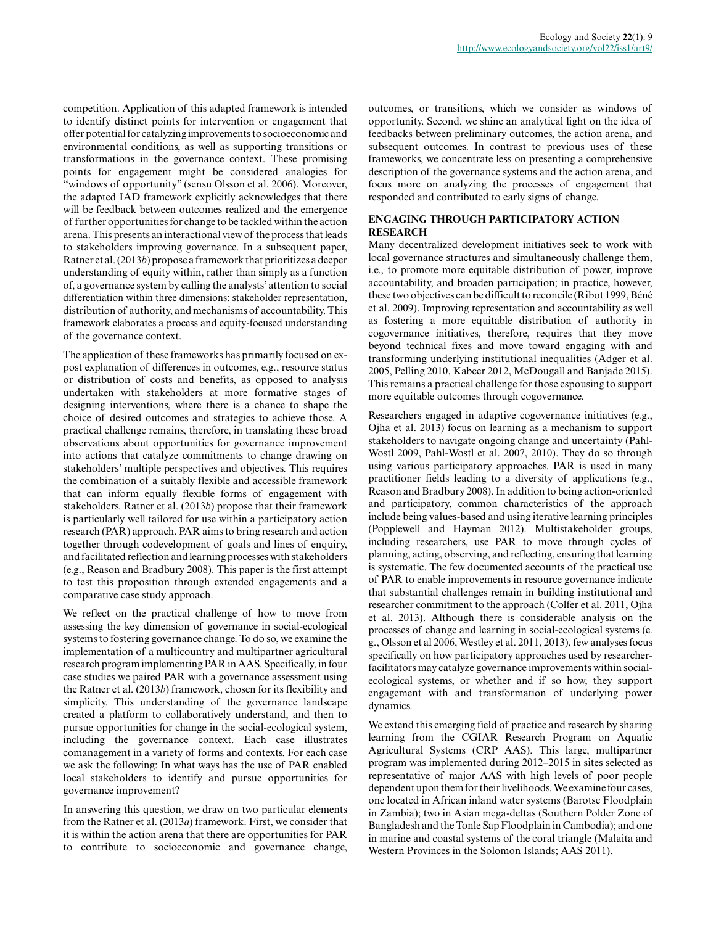competition. Application of this adapted framework is intended to identify distinct points for intervention or engagement that offer potential for catalyzing improvements to socioeconomic and environmental conditions, as well as supporting transitions or transformations in the governance context. These promising points for engagement might be considered analogies for "windows of opportunity" (sensu Olsson et al. 2006). Moreover, the adapted IAD framework explicitly acknowledges that there will be feedback between outcomes realized and the emergence of further opportunities for change to be tackled within the action arena. This presents an interactional view of the process that leads to stakeholders improving governance. In a subsequent paper, Ratner et al. (2013*b*) propose a framework that prioritizes a deeper understanding of equity within, rather than simply as a function of, a governance system by calling the analysts' attention to social differentiation within three dimensions: stakeholder representation, distribution of authority, and mechanisms of accountability. This framework elaborates a process and equity-focused understanding of the governance context.

The application of these frameworks has primarily focused on expost explanation of differences in outcomes, e.g., resource status or distribution of costs and benefits, as opposed to analysis undertaken with stakeholders at more formative stages of designing interventions, where there is a chance to shape the choice of desired outcomes and strategies to achieve those. A practical challenge remains, therefore, in translating these broad observations about opportunities for governance improvement into actions that catalyze commitments to change drawing on stakeholders' multiple perspectives and objectives. This requires the combination of a suitably flexible and accessible framework that can inform equally flexible forms of engagement with stakeholders. Ratner et al. (2013*b*) propose that their framework is particularly well tailored for use within a participatory action research (PAR) approach. PAR aims to bring research and action together through codevelopment of goals and lines of enquiry, and facilitated reflection and learning processes with stakeholders (e.g., Reason and Bradbury 2008). This paper is the first attempt to test this proposition through extended engagements and a comparative case study approach.

We reflect on the practical challenge of how to move from assessing the key dimension of governance in social-ecological systems to fostering governance change. To do so, we examine the implementation of a multicountry and multipartner agricultural research program implementing PAR in AAS. Specifically, in four case studies we paired PAR with a governance assessment using the Ratner et al. (2013*b*) framework, chosen for its flexibility and simplicity. This understanding of the governance landscape created a platform to collaboratively understand, and then to pursue opportunities for change in the social-ecological system, including the governance context. Each case illustrates comanagement in a variety of forms and contexts. For each case we ask the following: In what ways has the use of PAR enabled local stakeholders to identify and pursue opportunities for governance improvement?

In answering this question, we draw on two particular elements from the Ratner et al. (2013*a*) framework. First, we consider that it is within the action arena that there are opportunities for PAR to contribute to socioeconomic and governance change,

outcomes, or transitions, which we consider as windows of opportunity. Second, we shine an analytical light on the idea of feedbacks between preliminary outcomes, the action arena, and subsequent outcomes. In contrast to previous uses of these frameworks, we concentrate less on presenting a comprehensive description of the governance systems and the action arena, and focus more on analyzing the processes of engagement that responded and contributed to early signs of change.

## **ENGAGING THROUGH PARTICIPATORY ACTION RESEARCH**

Many decentralized development initiatives seek to work with local governance structures and simultaneously challenge them, i.e., to promote more equitable distribution of power, improve accountability, and broaden participation; in practice, however, these two objectives can be difficult to reconcile (Ribot 1999, Béné et al. 2009). Improving representation and accountability as well as fostering a more equitable distribution of authority in cogovernance initiatives, therefore, requires that they move beyond technical fixes and move toward engaging with and transforming underlying institutional inequalities (Adger et al. 2005, Pelling 2010, Kabeer 2012, McDougall and Banjade 2015). This remains a practical challenge for those espousing to support more equitable outcomes through cogovernance.

Researchers engaged in adaptive cogovernance initiatives (e.g., Ojha et al. 2013) focus on learning as a mechanism to support stakeholders to navigate ongoing change and uncertainty (Pahl-Wostl 2009, Pahl-Wostl et al. 2007, 2010). They do so through using various participatory approaches. PAR is used in many practitioner fields leading to a diversity of applications (e.g., Reason and Bradbury 2008). In addition to being action-oriented and participatory, common characteristics of the approach include being values-based and using iterative learning principles (Popplewell and Hayman 2012). Multistakeholder groups, including researchers, use PAR to move through cycles of planning, acting, observing, and reflecting, ensuring that learning is systematic. The few documented accounts of the practical use of PAR to enable improvements in resource governance indicate that substantial challenges remain in building institutional and researcher commitment to the approach (Colfer et al. 2011, Ojha et al. 2013). Although there is considerable analysis on the processes of change and learning in social-ecological systems (e. g., Olsson et al 2006, Westley et al. 2011, 2013), few analyses focus specifically on how participatory approaches used by researcherfacilitators may catalyze governance improvements within socialecological systems, or whether and if so how, they support engagement with and transformation of underlying power dynamics.

We extend this emerging field of practice and research by sharing learning from the CGIAR Research Program on Aquatic Agricultural Systems (CRP AAS). This large, multipartner program was implemented during 2012–2015 in sites selected as representative of major AAS with high levels of poor people dependent upon them for their livelihoods. We examine four cases, one located in African inland water systems (Barotse Floodplain in Zambia); two in Asian mega-deltas (Southern Polder Zone of Bangladesh and the Tonle Sap Floodplain in Cambodia); and one in marine and coastal systems of the coral triangle (Malaita and Western Provinces in the Solomon Islands; AAS 2011).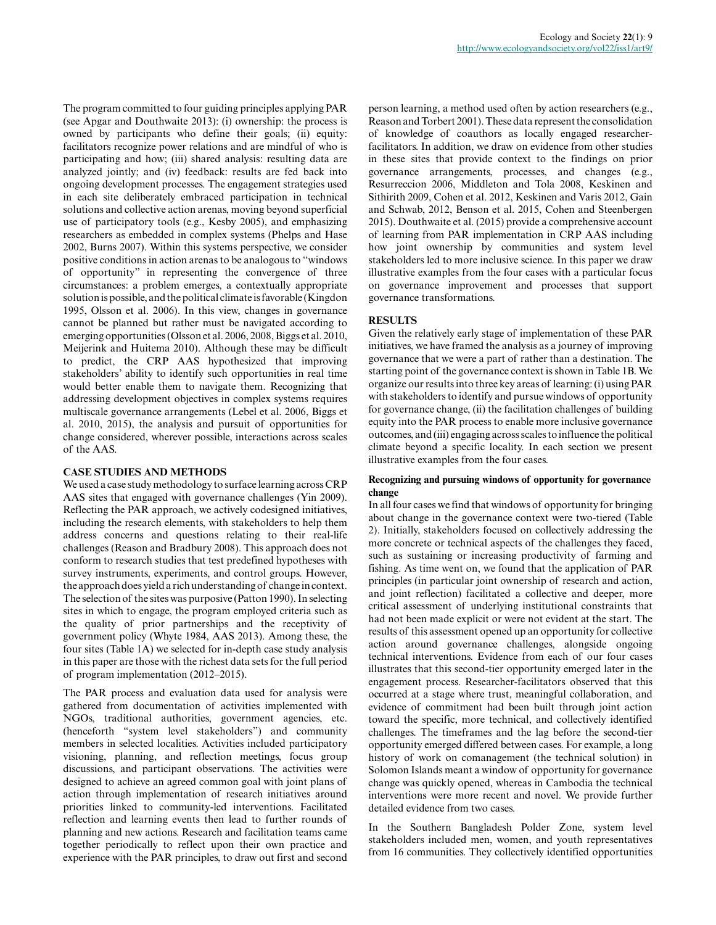The program committed to four guiding principles applying PAR (see Apgar and Douthwaite 2013): (i) ownership: the process is owned by participants who define their goals; (ii) equity: facilitators recognize power relations and are mindful of who is participating and how; (iii) shared analysis: resulting data are analyzed jointly; and (iv) feedback: results are fed back into ongoing development processes. The engagement strategies used in each site deliberately embraced participation in technical solutions and collective action arenas, moving beyond superficial use of participatory tools (e.g., Kesby 2005), and emphasizing researchers as embedded in complex systems (Phelps and Hase 2002, Burns 2007). Within this systems perspective, we consider positive conditions in action arenas to be analogous to "windows of opportunity" in representing the convergence of three circumstances: a problem emerges, a contextually appropriate solution is possible, and the political climate is favorable (Kingdon 1995, Olsson et al. 2006). In this view, changes in governance cannot be planned but rather must be navigated according to emerging opportunities (Olsson et al. 2006, 2008, Biggs et al. 2010, Meijerink and Huitema 2010). Although these may be difficult to predict, the CRP AAS hypothesized that improving stakeholders' ability to identify such opportunities in real time would better enable them to navigate them. Recognizing that addressing development objectives in complex systems requires multiscale governance arrangements (Lebel et al. 2006, Biggs et al. 2010, 2015), the analysis and pursuit of opportunities for change considered, wherever possible, interactions across scales of the AAS.

#### **CASE STUDIES AND METHODS**

We used a case study methodology to surface learning across CRP AAS sites that engaged with governance challenges (Yin 2009). Reflecting the PAR approach, we actively codesigned initiatives, including the research elements, with stakeholders to help them address concerns and questions relating to their real-life challenges (Reason and Bradbury 2008). This approach does not conform to research studies that test predefined hypotheses with survey instruments, experiments, and control groups. However, the approach does yield a rich understanding of change in context. The selection of the sites was purposive (Patton 1990). In selecting sites in which to engage, the program employed criteria such as the quality of prior partnerships and the receptivity of government policy (Whyte 1984, AAS 2013). Among these, the four sites (Table 1A) we selected for in-depth case study analysis in this paper are those with the richest data sets for the full period of program implementation (2012–2015).

The PAR process and evaluation data used for analysis were gathered from documentation of activities implemented with NGOs, traditional authorities, government agencies, etc. (henceforth "system level stakeholders") and community members in selected localities. Activities included participatory visioning, planning, and reflection meetings, focus group discussions, and participant observations. The activities were designed to achieve an agreed common goal with joint plans of action through implementation of research initiatives around priorities linked to community-led interventions. Facilitated reflection and learning events then lead to further rounds of planning and new actions. Research and facilitation teams came together periodically to reflect upon their own practice and experience with the PAR principles, to draw out first and second

person learning, a method used often by action researchers (e.g., Reason and Torbert 2001). These data represent the consolidation of knowledge of coauthors as locally engaged researcherfacilitators. In addition, we draw on evidence from other studies in these sites that provide context to the findings on prior governance arrangements, processes, and changes (e.g., Resurreccion 2006, Middleton and Tola 2008, Keskinen and Sithirith 2009, Cohen et al. 2012, Keskinen and Varis 2012, Gain and Schwab, 2012, Benson et al. 2015, Cohen and Steenbergen 2015). Douthwaite et al. (2015) provide a comprehensive account of learning from PAR implementation in CRP AAS including how joint ownership by communities and system level stakeholders led to more inclusive science. In this paper we draw illustrative examples from the four cases with a particular focus on governance improvement and processes that support governance transformations.

#### **RESULTS**

Given the relatively early stage of implementation of these PAR initiatives, we have framed the analysis as a journey of improving governance that we were a part of rather than a destination. The starting point of the governance context is shown in Table 1B. We organize our results into three key areas of learning: (i) using PAR with stakeholders to identify and pursue windows of opportunity for governance change, (ii) the facilitation challenges of building equity into the PAR process to enable more inclusive governance outcomes, and (iii) engaging across scales to influence the political climate beyond a specific locality. In each section we present illustrative examples from the four cases.

#### **Recognizing and pursuing windows of opportunity for governance change**

In all four cases we find that windows of opportunity for bringing about change in the governance context were two-tiered (Table 2). Initially, stakeholders focused on collectively addressing the more concrete or technical aspects of the challenges they faced, such as sustaining or increasing productivity of farming and fishing. As time went on, we found that the application of PAR principles (in particular joint ownership of research and action, and joint reflection) facilitated a collective and deeper, more critical assessment of underlying institutional constraints that had not been made explicit or were not evident at the start. The results of this assessment opened up an opportunity for collective action around governance challenges, alongside ongoing technical interventions. Evidence from each of our four cases illustrates that this second-tier opportunity emerged later in the engagement process. Researcher-facilitators observed that this occurred at a stage where trust, meaningful collaboration, and evidence of commitment had been built through joint action toward the specific, more technical, and collectively identified challenges. The timeframes and the lag before the second-tier opportunity emerged differed between cases. For example, a long history of work on comanagement (the technical solution) in Solomon Islands meant a window of opportunity for governance change was quickly opened, whereas in Cambodia the technical interventions were more recent and novel. We provide further detailed evidence from two cases.

In the Southern Bangladesh Polder Zone, system level stakeholders included men, women, and youth representatives from 16 communities. They collectively identified opportunities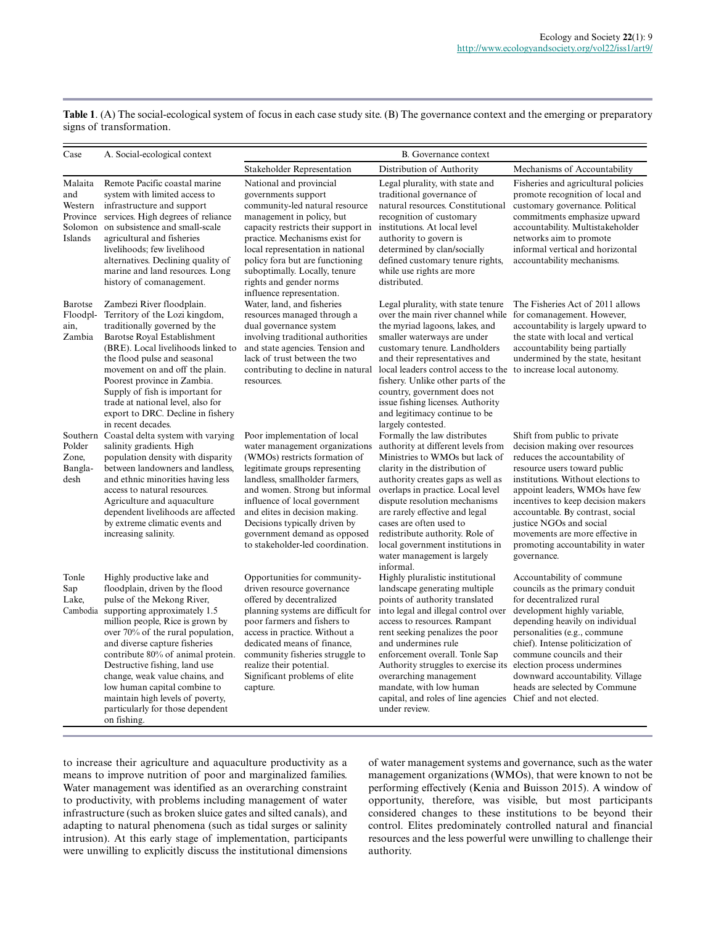**Table 1**. (A) The social-ecological system of focus in each case study site. (B) The governance context and the emerging or preparatory signs of transformation.

| Case                                  | A. Social-ecological context                                                                                                                                                                                                                                                                                                                                                                                                                                         | B. Governance context                                                                                                                                                                                                                                                                                                                                                         |                                                                                                                                                                                                                                                                                                                                                                                                                                                   |                                                                                                                                                                                                                                                                                                                                                                                                     |
|---------------------------------------|----------------------------------------------------------------------------------------------------------------------------------------------------------------------------------------------------------------------------------------------------------------------------------------------------------------------------------------------------------------------------------------------------------------------------------------------------------------------|-------------------------------------------------------------------------------------------------------------------------------------------------------------------------------------------------------------------------------------------------------------------------------------------------------------------------------------------------------------------------------|---------------------------------------------------------------------------------------------------------------------------------------------------------------------------------------------------------------------------------------------------------------------------------------------------------------------------------------------------------------------------------------------------------------------------------------------------|-----------------------------------------------------------------------------------------------------------------------------------------------------------------------------------------------------------------------------------------------------------------------------------------------------------------------------------------------------------------------------------------------------|
|                                       |                                                                                                                                                                                                                                                                                                                                                                                                                                                                      | Stakeholder Representation                                                                                                                                                                                                                                                                                                                                                    | Distribution of Authority                                                                                                                                                                                                                                                                                                                                                                                                                         | Mechanisms of Accountability                                                                                                                                                                                                                                                                                                                                                                        |
| Malaita<br>and<br>Western<br>Islands  | Remote Pacific coastal marine<br>system with limited access to<br>infrastructure and support<br>Province services. High degrees of reliance<br>Solomon on subsistence and small-scale<br>agricultural and fisheries<br>livelihoods; few livelihood<br>alternatives. Declining quality of<br>marine and land resources. Long<br>history of comanagement.                                                                                                              | National and provincial<br>governments support<br>community-led natural resource<br>management in policy, but<br>capacity restricts their support in<br>practice. Mechanisms exist for<br>local representation in national<br>policy for a but are functioning<br>suboptimally. Locally, tenure<br>rights and gender norms<br>influence representation.                       | Legal plurality, with state and<br>traditional governance of<br>natural resources. Constitutional<br>recognition of customary<br>institutions. At local level<br>authority to govern is<br>determined by clan/socially<br>defined customary tenure rights,<br>while use rights are more<br>distributed.                                                                                                                                           | Fisheries and agricultural policies<br>promote recognition of local and<br>customary governance. Political<br>commitments emphasize upward<br>accountability. Multistakeholder<br>networks aim to promote<br>informal vertical and horizontal<br>accountability mechanisms.                                                                                                                         |
| Barotse<br>Floodpl-<br>ain.<br>Zambia | Zambezi River floodplain.<br>Territory of the Lozi kingdom,<br>traditionally governed by the<br>Barotse Royal Establishment<br>(BRE). Local livelihoods linked to<br>the flood pulse and seasonal<br>movement on and off the plain.<br>Poorest province in Zambia.<br>Supply of fish is important for<br>trade at national level, also for<br>export to DRC. Decline in fishery<br>in recent decades.                                                                | Water, land, and fisheries<br>resources managed through a<br>dual governance system<br>involving traditional authorities<br>and state agencies. Tension and<br>lack of trust between the two<br>contributing to decline in natural<br>resources.                                                                                                                              | Legal plurality, with state tenure<br>over the main river channel while<br>the myriad lagoons, lakes, and<br>smaller waterways are under<br>customary tenure. Landholders<br>and their representatives and<br>local leaders control access to the<br>fishery. Unlike other parts of the<br>country, government does not<br>issue fishing licenses. Authority<br>and legitimacy continue to be<br>largely contested.                               | The Fisheries Act of 2011 allows<br>for comanagement. However,<br>accountability is largely upward to<br>the state with local and vertical<br>accountability being partially<br>undermined by the state, hesitant<br>to increase local autonomy.                                                                                                                                                    |
| Polder<br>Zone,<br>Bangla-<br>desh    | Southern Coastal delta system with varying<br>salinity gradients. High<br>population density with disparity<br>between landowners and landless,<br>and ethnic minorities having less<br>access to natural resources.<br>Agriculture and aquaculture<br>dependent livelihoods are affected<br>by extreme climatic events and<br>increasing salinity.                                                                                                                  | Poor implementation of local<br>water management organizations<br>(WMOs) restricts formation of<br>legitimate groups representing<br>landless, smallholder farmers,<br>and women. Strong but informal<br>influence of local government<br>and elites in decision making.<br>Decisions typically driven by<br>government demand as opposed<br>to stakeholder-led coordination. | Formally the law distributes<br>authority at different levels from<br>Ministries to WMOs but lack of<br>clarity in the distribution of<br>authority creates gaps as well as<br>overlaps in practice. Local level<br>dispute resolution mechanisms<br>are rarely effective and legal<br>cases are often used to<br>redistribute authority. Role of<br>local government institutions in<br>water management is largely<br>informal.                 | Shift from public to private<br>decision making over resources<br>reduces the accountability of<br>resource users toward public<br>institutions. Without elections to<br>appoint leaders, WMOs have few<br>incentives to keep decision makers<br>accountable. By contrast, social<br>justice NGOs and social<br>movements are more effective in<br>promoting accountability in water<br>governance. |
| Tonle<br>Sap<br>Lake,<br>Cambodia     | Highly productive lake and<br>floodplain, driven by the flood<br>pulse of the Mekong River,<br>supporting approximately 1.5<br>million people, Rice is grown by<br>over 70% of the rural population,<br>and diverse capture fisheries<br>contribute 80% of animal protein.<br>Destructive fishing, land use<br>change, weak value chains, and<br>low human capital combine to<br>maintain high levels of poverty,<br>particularly for those dependent<br>on fishing. | Opportunities for community-<br>driven resource governance<br>offered by decentralized<br>planning systems are difficult for<br>poor farmers and fishers to<br>access in practice. Without a<br>dedicated means of finance,<br>community fisheries struggle to<br>realize their potential.<br>Significant problems of elite<br>capture.                                       | Highly pluralistic institutional<br>landscape generating multiple<br>points of authority translated<br>into legal and illegal control over<br>access to resources. Rampant<br>rent seeking penalizes the poor<br>and undermines rule<br>enforcement overall. Tonle Sap<br>Authority struggles to exercise its<br>overarching management<br>mandate, with low human<br>capital, and roles of line agencies Chief and not elected.<br>under review. | Accountability of commune<br>councils as the primary conduit<br>for decentralized rural<br>development highly variable,<br>depending heavily on individual<br>personalities (e.g., commune<br>chief). Intense politicization of<br>commune councils and their<br>election process undermines<br>downward accountability. Village<br>heads are selected by Commune                                   |

to increase their agriculture and aquaculture productivity as a means to improve nutrition of poor and marginalized families. Water management was identified as an overarching constraint to productivity, with problems including management of water infrastructure (such as broken sluice gates and silted canals), and adapting to natural phenomena (such as tidal surges or salinity intrusion). At this early stage of implementation, participants were unwilling to explicitly discuss the institutional dimensions

of water management systems and governance, such as the water management organizations (WMOs), that were known to not be performing effectively (Kenia and Buisson 2015). A window of opportunity, therefore, was visible, but most participants considered changes to these institutions to be beyond their control. Elites predominately controlled natural and financial resources and the less powerful were unwilling to challenge their authority.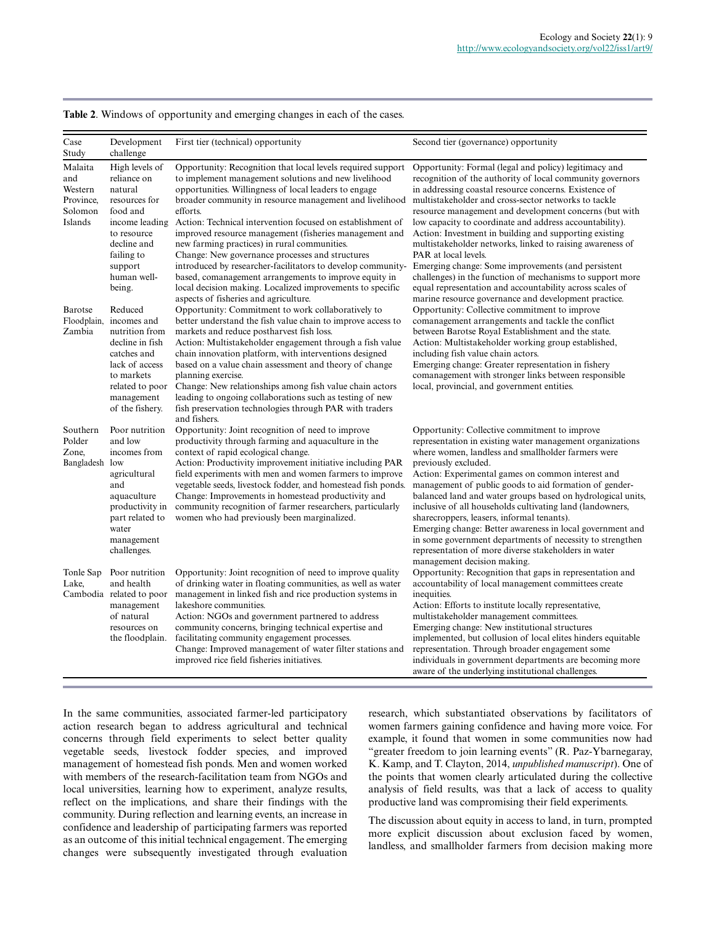| Case<br>Study                                                | Development<br>challenge                                                                                                                                                | First tier (technical) opportunity                                                                                                                                                                                                                                                                                                                                                                                                                                                                                                                                                                                                                                                                           | Second tier (governance) opportunity                                                                                                                                                                                                                                                                                                                                                                                                                                                                                                                                                                                                                                                                                                           |
|--------------------------------------------------------------|-------------------------------------------------------------------------------------------------------------------------------------------------------------------------|--------------------------------------------------------------------------------------------------------------------------------------------------------------------------------------------------------------------------------------------------------------------------------------------------------------------------------------------------------------------------------------------------------------------------------------------------------------------------------------------------------------------------------------------------------------------------------------------------------------------------------------------------------------------------------------------------------------|------------------------------------------------------------------------------------------------------------------------------------------------------------------------------------------------------------------------------------------------------------------------------------------------------------------------------------------------------------------------------------------------------------------------------------------------------------------------------------------------------------------------------------------------------------------------------------------------------------------------------------------------------------------------------------------------------------------------------------------------|
| Malaita<br>and<br>Western<br>Province.<br>Solomon<br>Islands | High levels of<br>reliance on<br>natural<br>resources for<br>food and<br>income leading<br>to resource<br>decline and<br>failing to<br>support<br>human well-<br>being. | Opportunity: Recognition that local levels required support<br>to implement management solutions and new livelihood<br>opportunities. Willingness of local leaders to engage<br>broader community in resource management and livelihood<br>efforts.<br>Action: Technical intervention focused on establishment of<br>improved resource management (fisheries management and<br>new farming practices) in rural communities.<br>Change: New governance processes and structures<br>introduced by researcher-facilitators to develop community-<br>based, comanagement arrangements to improve equity in<br>local decision making. Localized improvements to specific<br>aspects of fisheries and agriculture. | Opportunity: Formal (legal and policy) legitimacy and<br>recognition of the authority of local community governors<br>in addressing coastal resource concerns. Existence of<br>multistakeholder and cross-sector networks to tackle<br>resource management and development concerns (but with<br>low capacity to coordinate and address accountability).<br>Action: Investment in building and supporting existing<br>multistakeholder networks, linked to raising awareness of<br>PAR at local levels.<br>Emerging change: Some improvements (and persistent<br>challenges) in the function of mechanisms to support more<br>equal representation and accountability across scales of<br>marine resource governance and development practice. |
| Barotse<br>Floodplain,<br>Zambia                             | Reduced<br>incomes and<br>nutrition from<br>decline in fish<br>catches and<br>lack of access<br>to markets<br>related to poor<br>management<br>of the fishery.          | Opportunity: Commitment to work collaboratively to<br>better understand the fish value chain to improve access to<br>markets and reduce postharvest fish loss.<br>Action: Multistakeholder engagement through a fish value<br>chain innovation platform, with interventions designed<br>based on a value chain assessment and theory of change<br>planning exercise.<br>Change: New relationships among fish value chain actors<br>leading to ongoing collaborations such as testing of new<br>fish preservation technologies through PAR with traders<br>and fishers.                                                                                                                                       | Opportunity: Collective commitment to improve<br>comanagement arrangements and tackle the conflict<br>between Barotse Royal Establishment and the state.<br>Action: Multistakeholder working group established,<br>including fish value chain actors.<br>Emerging change: Greater representation in fishery<br>comanagement with stronger links between responsible<br>local, provincial, and government entities.                                                                                                                                                                                                                                                                                                                             |
| Southern<br>Polder<br>Zone,<br>Bangladesh low                | Poor nutrition<br>and low<br>incomes from<br>agricultural<br>and<br>aquaculture<br>productivity in<br>part related to<br>water<br>management<br>challenges.             | Opportunity: Joint recognition of need to improve<br>productivity through farming and aquaculture in the<br>context of rapid ecological change.<br>Action: Productivity improvement initiative including PAR<br>field experiments with men and women farmers to improve<br>vegetable seeds, livestock fodder, and homestead fish ponds.<br>Change: Improvements in homestead productivity and<br>community recognition of farmer researchers, particularly<br>women who had previously been marginalized.                                                                                                                                                                                                    | Opportunity: Collective commitment to improve<br>representation in existing water management organizations<br>where women, landless and smallholder farmers were<br>previously excluded.<br>Action: Experimental games on common interest and<br>management of public goods to aid formation of gender-<br>balanced land and water groups based on hydrological units,<br>inclusive of all households cultivating land (landowners,<br>sharecroppers, leasers, informal tenants).<br>Emerging change: Better awareness in local government and<br>in some government departments of necessity to strengthen<br>representation of more diverse stakeholders in water<br>management decision making.                                             |
| Tonle Sap<br>Lake,                                           | Poor nutrition<br>and health<br>Cambodia related to poor<br>management<br>of natural<br>resources on<br>the floodplain.                                                 | Opportunity: Joint recognition of need to improve quality<br>of drinking water in floating communities, as well as water<br>management in linked fish and rice production systems in<br>lakeshore communities.<br>Action: NGOs and government partnered to address<br>community concerns, bringing technical expertise and<br>facilitating community engagement processes.<br>Change: Improved management of water filter stations and<br>improved rice field fisheries initiatives.                                                                                                                                                                                                                         | Opportunity: Recognition that gaps in representation and<br>accountability of local management committees create<br>inequities.<br>Action: Efforts to institute locally representative,<br>multistakeholder management committees.<br>Emerging change: New institutional structures<br>implemented, but collusion of local elites hinders equitable<br>representation. Through broader engagement some<br>individuals in government departments are becoming more<br>aware of the underlying institutional challenges.                                                                                                                                                                                                                         |

**Table 2**. Windows of opportunity and emerging changes in each of the cases.

In the same communities, associated farmer-led participatory action research began to address agricultural and technical concerns through field experiments to select better quality vegetable seeds, livestock fodder species, and improved management of homestead fish ponds. Men and women worked with members of the research-facilitation team from NGOs and local universities, learning how to experiment, analyze results, reflect on the implications, and share their findings with the community. During reflection and learning events, an increase in confidence and leadership of participating farmers was reported as an outcome of this initial technical engagement. The emerging changes were subsequently investigated through evaluation

research, which substantiated observations by facilitators of women farmers gaining confidence and having more voice. For example, it found that women in some communities now had "greater freedom to join learning events" (R. Paz-Ybarnegaray, K. Kamp, and T. Clayton, 2014, *unpublished manuscript*). One of the points that women clearly articulated during the collective analysis of field results, was that a lack of access to quality productive land was compromising their field experiments.

The discussion about equity in access to land, in turn, prompted more explicit discussion about exclusion faced by women, landless, and smallholder farmers from decision making more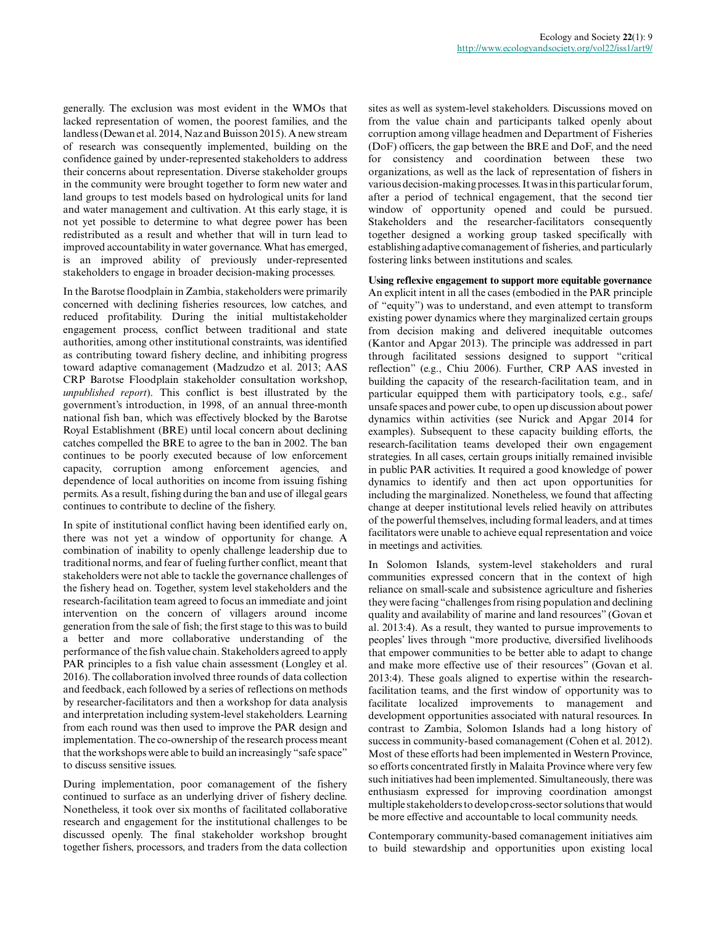generally. The exclusion was most evident in the WMOs that lacked representation of women, the poorest families, and the landless (Dewan et al. 2014, Naz and Buisson 2015). A new stream of research was consequently implemented, building on the confidence gained by under-represented stakeholders to address their concerns about representation. Diverse stakeholder groups in the community were brought together to form new water and land groups to test models based on hydrological units for land and water management and cultivation. At this early stage, it is not yet possible to determine to what degree power has been redistributed as a result and whether that will in turn lead to improved accountability in water governance. What has emerged, is an improved ability of previously under-represented stakeholders to engage in broader decision-making processes.

In the Barotse floodplain in Zambia, stakeholders were primarily concerned with declining fisheries resources, low catches, and reduced profitability. During the initial multistakeholder engagement process, conflict between traditional and state authorities, among other institutional constraints, was identified as contributing toward fishery decline, and inhibiting progress toward adaptive comanagement (Madzudzo et al. 2013; AAS CRP Barotse Floodplain stakeholder consultation workshop, *unpublished report*). This conflict is best illustrated by the government's introduction, in 1998, of an annual three-month national fish ban, which was effectively blocked by the Barotse Royal Establishment (BRE) until local concern about declining catches compelled the BRE to agree to the ban in 2002. The ban continues to be poorly executed because of low enforcement capacity, corruption among enforcement agencies, and dependence of local authorities on income from issuing fishing permits. As a result, fishing during the ban and use of illegal gears continues to contribute to decline of the fishery.

In spite of institutional conflict having been identified early on, there was not yet a window of opportunity for change. A combination of inability to openly challenge leadership due to traditional norms, and fear of fueling further conflict, meant that stakeholders were not able to tackle the governance challenges of the fishery head on. Together, system level stakeholders and the research-facilitation team agreed to focus an immediate and joint intervention on the concern of villagers around income generation from the sale of fish; the first stage to this was to build a better and more collaborative understanding of the performance of the fish value chain. Stakeholders agreed to apply PAR principles to a fish value chain assessment (Longley et al. 2016). The collaboration involved three rounds of data collection and feedback, each followed by a series of reflections on methods by researcher-facilitators and then a workshop for data analysis and interpretation including system-level stakeholders. Learning from each round was then used to improve the PAR design and implementation. The co-ownership of the research process meant that the workshops were able to build an increasingly "safe space" to discuss sensitive issues.

During implementation, poor comanagement of the fishery continued to surface as an underlying driver of fishery decline. Nonetheless, it took over six months of facilitated collaborative research and engagement for the institutional challenges to be discussed openly. The final stakeholder workshop brought together fishers, processors, and traders from the data collection

sites as well as system-level stakeholders. Discussions moved on from the value chain and participants talked openly about corruption among village headmen and Department of Fisheries (DoF) officers, the gap between the BRE and DoF, and the need for consistency and coordination between these two organizations, as well as the lack of representation of fishers in various decision-making processes. It was in this particular forum, after a period of technical engagement, that the second tier window of opportunity opened and could be pursued. Stakeholders and the researcher-facilitators consequently together designed a working group tasked specifically with establishing adaptive comanagement of fisheries, and particularly fostering links between institutions and scales.

**Using reflexive engagement to support more equitable governance** An explicit intent in all the cases (embodied in the PAR principle of "equity") was to understand, and even attempt to transform existing power dynamics where they marginalized certain groups from decision making and delivered inequitable outcomes (Kantor and Apgar 2013). The principle was addressed in part through facilitated sessions designed to support "critical reflection" (e.g., Chiu 2006). Further, CRP AAS invested in building the capacity of the research-facilitation team, and in particular equipped them with participatory tools, e.g., safe/ unsafe spaces and power cube, to open up discussion about power dynamics within activities (see Nurick and Apgar 2014 for examples). Subsequent to these capacity building efforts, the research-facilitation teams developed their own engagement strategies. In all cases, certain groups initially remained invisible in public PAR activities. It required a good knowledge of power dynamics to identify and then act upon opportunities for including the marginalized. Nonetheless, we found that affecting change at deeper institutional levels relied heavily on attributes of the powerful themselves, including formal leaders, and at times facilitators were unable to achieve equal representation and voice in meetings and activities.

In Solomon Islands, system-level stakeholders and rural communities expressed concern that in the context of high reliance on small-scale and subsistence agriculture and fisheries they were facing "challenges from rising population and declining quality and availability of marine and land resources" (Govan et al. 2013:4). As a result, they wanted to pursue improvements to peoples' lives through "more productive, diversified livelihoods that empower communities to be better able to adapt to change and make more effective use of their resources" (Govan et al. 2013:4). These goals aligned to expertise within the researchfacilitation teams, and the first window of opportunity was to facilitate localized improvements to management and development opportunities associated with natural resources. In contrast to Zambia, Solomon Islands had a long history of success in community-based comanagement (Cohen et al. 2012). Most of these efforts had been implemented in Western Province, so efforts concentrated firstly in Malaita Province where very few such initiatives had been implemented. Simultaneously, there was enthusiasm expressed for improving coordination amongst multiple stakeholders to develop cross-sector solutions that would be more effective and accountable to local community needs.

Contemporary community-based comanagement initiatives aim to build stewardship and opportunities upon existing local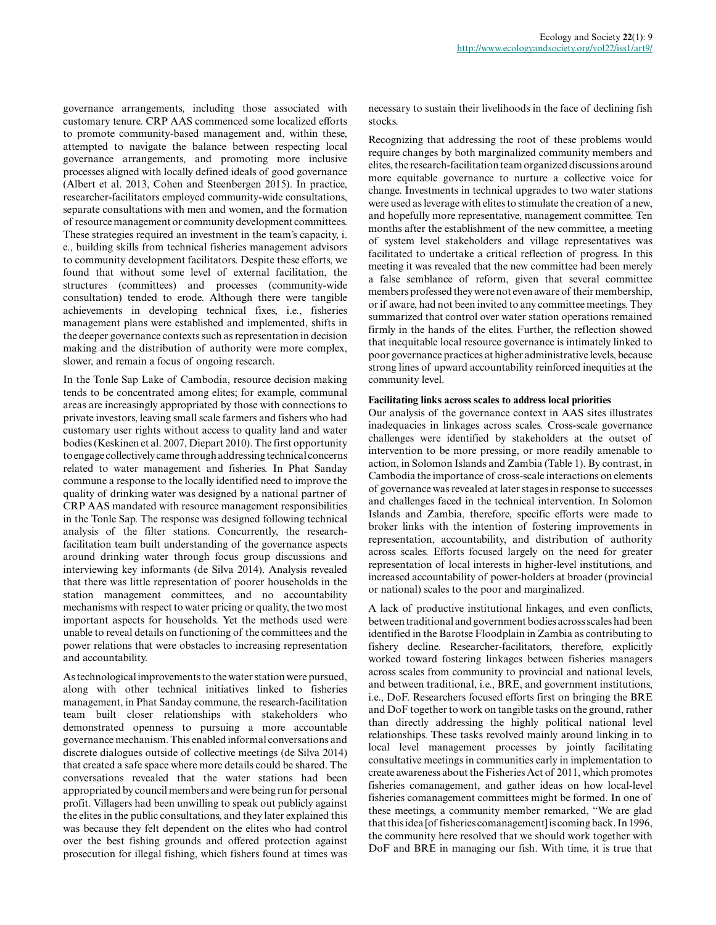governance arrangements, including those associated with customary tenure. CRP AAS commenced some localized efforts to promote community-based management and, within these, attempted to navigate the balance between respecting local governance arrangements, and promoting more inclusive processes aligned with locally defined ideals of good governance (Albert et al. 2013, Cohen and Steenbergen 2015). In practice, researcher-facilitators employed community-wide consultations, separate consultations with men and women, and the formation of resource management or community development committees. These strategies required an investment in the team's capacity, i. e., building skills from technical fisheries management advisors to community development facilitators. Despite these efforts, we found that without some level of external facilitation, the structures (committees) and processes (community-wide consultation) tended to erode. Although there were tangible achievements in developing technical fixes, i.e., fisheries management plans were established and implemented, shifts in the deeper governance contexts such as representation in decision making and the distribution of authority were more complex, slower, and remain a focus of ongoing research.

In the Tonle Sap Lake of Cambodia, resource decision making tends to be concentrated among elites; for example, communal areas are increasingly appropriated by those with connections to private investors, leaving small scale farmers and fishers who had customary user rights without access to quality land and water bodies (Keskinen et al. 2007, Diepart 2010). The first opportunity to engage collectively came through addressing technical concerns related to water management and fisheries. In Phat Sanday commune a response to the locally identified need to improve the quality of drinking water was designed by a national partner of CRP AAS mandated with resource management responsibilities in the Tonle Sap. The response was designed following technical analysis of the filter stations. Concurrently, the researchfacilitation team built understanding of the governance aspects around drinking water through focus group discussions and interviewing key informants (de Silva 2014). Analysis revealed that there was little representation of poorer households in the station management committees, and no accountability mechanisms with respect to water pricing or quality, the two most important aspects for households. Yet the methods used were unable to reveal details on functioning of the committees and the power relations that were obstacles to increasing representation and accountability.

As technological improvements to the water station were pursued, along with other technical initiatives linked to fisheries management, in Phat Sanday commune, the research-facilitation team built closer relationships with stakeholders who demonstrated openness to pursuing a more accountable governance mechanism. This enabled informal conversations and discrete dialogues outside of collective meetings (de Silva 2014) that created a safe space where more details could be shared. The conversations revealed that the water stations had been appropriated by council members and were being run for personal profit. Villagers had been unwilling to speak out publicly against the elites in the public consultations, and they later explained this was because they felt dependent on the elites who had control over the best fishing grounds and offered protection against prosecution for illegal fishing, which fishers found at times was

necessary to sustain their livelihoods in the face of declining fish stocks.

Recognizing that addressing the root of these problems would require changes by both marginalized community members and elites, the research-facilitation team organized discussions around more equitable governance to nurture a collective voice for change. Investments in technical upgrades to two water stations were used as leverage with elites to stimulate the creation of a new, and hopefully more representative, management committee. Ten months after the establishment of the new committee, a meeting of system level stakeholders and village representatives was facilitated to undertake a critical reflection of progress. In this meeting it was revealed that the new committee had been merely a false semblance of reform, given that several committee members professed they were not even aware of their membership, or if aware, had not been invited to any committee meetings. They summarized that control over water station operations remained firmly in the hands of the elites. Further, the reflection showed that inequitable local resource governance is intimately linked to poor governance practices at higher administrative levels, because strong lines of upward accountability reinforced inequities at the community level.

#### **Facilitating links across scales to address local priorities**

Our analysis of the governance context in AAS sites illustrates inadequacies in linkages across scales. Cross-scale governance challenges were identified by stakeholders at the outset of intervention to be more pressing, or more readily amenable to action, in Solomon Islands and Zambia (Table 1). By contrast, in Cambodia the importance of cross-scale interactions on elements of governance was revealed at later stages in response to successes and challenges faced in the technical intervention. In Solomon Islands and Zambia, therefore, specific efforts were made to broker links with the intention of fostering improvements in representation, accountability, and distribution of authority across scales. Efforts focused largely on the need for greater representation of local interests in higher-level institutions, and increased accountability of power-holders at broader (provincial or national) scales to the poor and marginalized.

A lack of productive institutional linkages, and even conflicts, between traditional and government bodies across scales had been identified in the Barotse Floodplain in Zambia as contributing to fishery decline. Researcher-facilitators, therefore, explicitly worked toward fostering linkages between fisheries managers across scales from community to provincial and national levels, and between traditional, i.e., BRE, and government institutions, i.e., DoF. Researchers focused efforts first on bringing the BRE and DoF together to work on tangible tasks on the ground, rather than directly addressing the highly political national level relationships. These tasks revolved mainly around linking in to local level management processes by jointly facilitating consultative meetings in communities early in implementation to create awareness about the Fisheries Act of 2011, which promotes fisheries comanagement, and gather ideas on how local-level fisheries comanagement committees might be formed. In one of these meetings, a community member remarked, "We are glad that this idea [of fisheries comanagement] is coming back. In 1996, the community here resolved that we should work together with DoF and BRE in managing our fish. With time, it is true that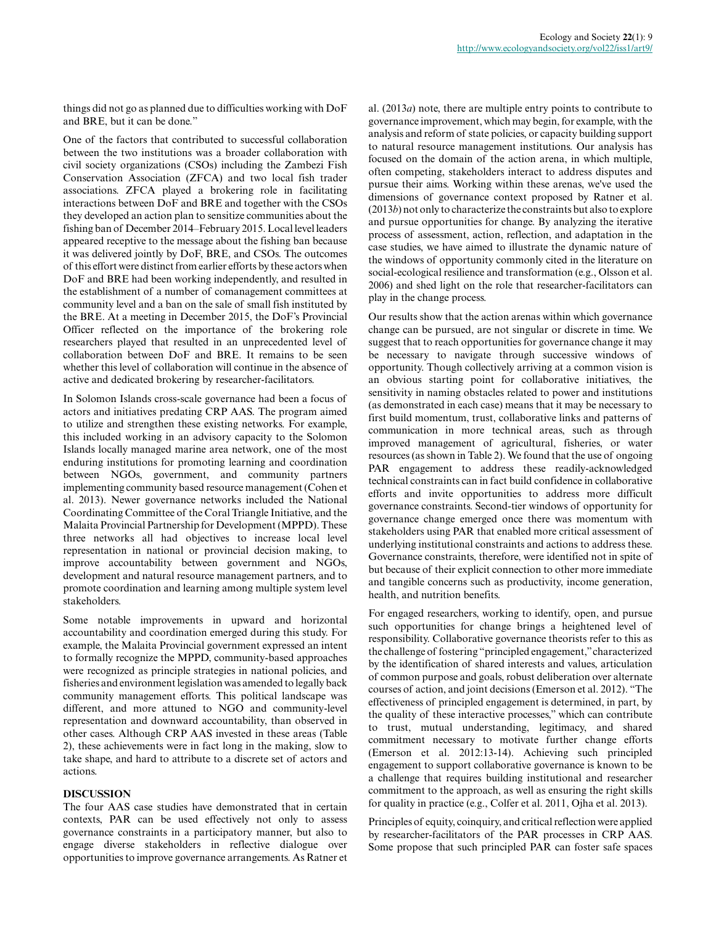things did not go as planned due to difficulties working with DoF and BRE, but it can be done."

One of the factors that contributed to successful collaboration between the two institutions was a broader collaboration with civil society organizations (CSOs) including the Zambezi Fish Conservation Association (ZFCA) and two local fish trader associations. ZFCA played a brokering role in facilitating interactions between DoF and BRE and together with the CSOs they developed an action plan to sensitize communities about the fishing ban of December 2014–February 2015. Local level leaders appeared receptive to the message about the fishing ban because it was delivered jointly by DoF, BRE, and CSOs. The outcomes of this effort were distinct from earlier efforts by these actors when DoF and BRE had been working independently, and resulted in the establishment of a number of comanagement committees at community level and a ban on the sale of small fish instituted by the BRE. At a meeting in December 2015, the DoF's Provincial Officer reflected on the importance of the brokering role researchers played that resulted in an unprecedented level of collaboration between DoF and BRE. It remains to be seen whether this level of collaboration will continue in the absence of active and dedicated brokering by researcher-facilitators.

In Solomon Islands cross-scale governance had been a focus of actors and initiatives predating CRP AAS. The program aimed to utilize and strengthen these existing networks. For example, this included working in an advisory capacity to the Solomon Islands locally managed marine area network, one of the most enduring institutions for promoting learning and coordination between NGOs, government, and community partners implementing community based resource management (Cohen et al. 2013). Newer governance networks included the National Coordinating Committee of the Coral Triangle Initiative, and the Malaita Provincial Partnership for Development (MPPD). These three networks all had objectives to increase local level representation in national or provincial decision making, to improve accountability between government and NGOs, development and natural resource management partners, and to promote coordination and learning among multiple system level stakeholders.

Some notable improvements in upward and horizontal accountability and coordination emerged during this study. For example, the Malaita Provincial government expressed an intent to formally recognize the MPPD, community-based approaches were recognized as principle strategies in national policies, and fisheries and environment legislation was amended to legally back community management efforts. This political landscape was different, and more attuned to NGO and community-level representation and downward accountability, than observed in other cases. Although CRP AAS invested in these areas (Table 2), these achievements were in fact long in the making, slow to take shape, and hard to attribute to a discrete set of actors and actions.

## **DISCUSSION**

The four AAS case studies have demonstrated that in certain contexts, PAR can be used effectively not only to assess governance constraints in a participatory manner, but also to engage diverse stakeholders in reflective dialogue over opportunities to improve governance arrangements. As Ratner et al. (2013*a*) note, there are multiple entry points to contribute to governance improvement, which may begin, for example, with the analysis and reform of state policies, or capacity building support to natural resource management institutions. Our analysis has focused on the domain of the action arena, in which multiple, often competing, stakeholders interact to address disputes and pursue their aims. Working within these arenas, we've used the dimensions of governance context proposed by Ratner et al. (2013*b*) not only to characterize the constraints but also to explore and pursue opportunities for change. By analyzing the iterative process of assessment, action, reflection, and adaptation in the case studies, we have aimed to illustrate the dynamic nature of the windows of opportunity commonly cited in the literature on social-ecological resilience and transformation (e.g., Olsson et al. 2006) and shed light on the role that researcher-facilitators can play in the change process.

Our results show that the action arenas within which governance change can be pursued, are not singular or discrete in time. We suggest that to reach opportunities for governance change it may be necessary to navigate through successive windows of opportunity. Though collectively arriving at a common vision is an obvious starting point for collaborative initiatives, the sensitivity in naming obstacles related to power and institutions (as demonstrated in each case) means that it may be necessary to first build momentum, trust, collaborative links and patterns of communication in more technical areas, such as through improved management of agricultural, fisheries, or water resources (as shown in Table 2). We found that the use of ongoing PAR engagement to address these readily-acknowledged technical constraints can in fact build confidence in collaborative efforts and invite opportunities to address more difficult governance constraints. Second-tier windows of opportunity for governance change emerged once there was momentum with stakeholders using PAR that enabled more critical assessment of underlying institutional constraints and actions to address these. Governance constraints, therefore, were identified not in spite of but because of their explicit connection to other more immediate and tangible concerns such as productivity, income generation, health, and nutrition benefits.

For engaged researchers, working to identify, open, and pursue such opportunities for change brings a heightened level of responsibility. Collaborative governance theorists refer to this as the challenge of fostering "principled engagement," characterized by the identification of shared interests and values, articulation of common purpose and goals, robust deliberation over alternate courses of action, and joint decisions (Emerson et al. 2012). "The effectiveness of principled engagement is determined, in part, by the quality of these interactive processes," which can contribute to trust, mutual understanding, legitimacy, and shared commitment necessary to motivate further change efforts (Emerson et al. 2012:13-14). Achieving such principled engagement to support collaborative governance is known to be a challenge that requires building institutional and researcher commitment to the approach, as well as ensuring the right skills for quality in practice (e.g., Colfer et al. 2011, Ojha et al. 2013).

Principles of equity, coinquiry, and critical reflection were applied by researcher-facilitators of the PAR processes in CRP AAS. Some propose that such principled PAR can foster safe spaces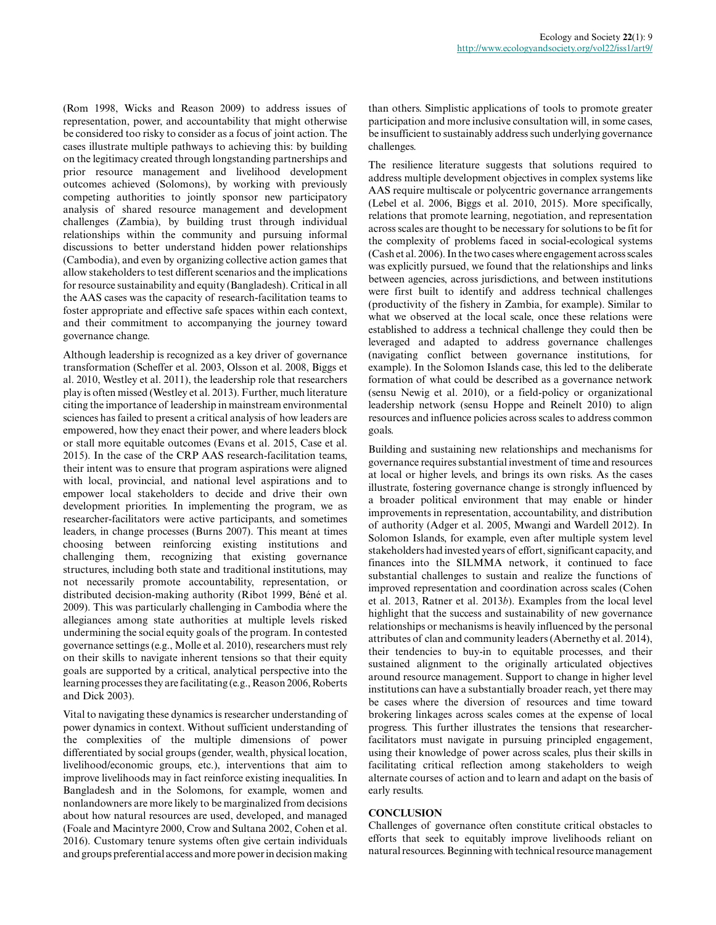(Rom 1998, Wicks and Reason 2009) to address issues of representation, power, and accountability that might otherwise be considered too risky to consider as a focus of joint action. The cases illustrate multiple pathways to achieving this: by building on the legitimacy created through longstanding partnerships and prior resource management and livelihood development outcomes achieved (Solomons), by working with previously competing authorities to jointly sponsor new participatory analysis of shared resource management and development challenges (Zambia), by building trust through individual relationships within the community and pursuing informal discussions to better understand hidden power relationships (Cambodia), and even by organizing collective action games that allow stakeholders to test different scenarios and the implications for resource sustainability and equity (Bangladesh). Critical in all the AAS cases was the capacity of research-facilitation teams to foster appropriate and effective safe spaces within each context, and their commitment to accompanying the journey toward governance change.

Although leadership is recognized as a key driver of governance transformation (Scheffer et al. 2003, Olsson et al. 2008, Biggs et al. 2010, Westley et al. 2011), the leadership role that researchers play is often missed (Westley et al. 2013). Further, much literature citing the importance of leadership in mainstream environmental sciences has failed to present a critical analysis of how leaders are empowered, how they enact their power, and where leaders block or stall more equitable outcomes (Evans et al. 2015, Case et al. 2015). In the case of the CRP AAS research-facilitation teams, their intent was to ensure that program aspirations were aligned with local, provincial, and national level aspirations and to empower local stakeholders to decide and drive their own development priorities. In implementing the program, we as researcher-facilitators were active participants, and sometimes leaders, in change processes (Burns 2007). This meant at times choosing between reinforcing existing institutions and challenging them, recognizing that existing governance structures, including both state and traditional institutions, may not necessarily promote accountability, representation, or distributed decision-making authority (Ribot 1999, Béné et al. 2009). This was particularly challenging in Cambodia where the allegiances among state authorities at multiple levels risked undermining the social equity goals of the program. In contested governance settings (e.g., Molle et al. 2010), researchers must rely on their skills to navigate inherent tensions so that their equity goals are supported by a critical, analytical perspective into the learning processes they are facilitating (e.g., Reason 2006, Roberts and Dick 2003).

Vital to navigating these dynamics is researcher understanding of power dynamics in context. Without sufficient understanding of the complexities of the multiple dimensions of power differentiated by social groups (gender, wealth, physical location, livelihood/economic groups, etc.), interventions that aim to improve livelihoods may in fact reinforce existing inequalities. In Bangladesh and in the Solomons, for example, women and nonlandowners are more likely to be marginalized from decisions about how natural resources are used, developed, and managed (Foale and Macintyre 2000, Crow and Sultana 2002, Cohen et al. 2016). Customary tenure systems often give certain individuals and groups preferential access and more power in decision making

than others. Simplistic applications of tools to promote greater participation and more inclusive consultation will, in some cases, be insufficient to sustainably address such underlying governance challenges.

The resilience literature suggests that solutions required to address multiple development objectives in complex systems like AAS require multiscale or polycentric governance arrangements (Lebel et al. 2006, Biggs et al. 2010, 2015). More specifically, relations that promote learning, negotiation, and representation across scales are thought to be necessary for solutions to be fit for the complexity of problems faced in social-ecological systems (Cash et al. 2006). In the two cases where engagement across scales was explicitly pursued, we found that the relationships and links between agencies, across jurisdictions, and between institutions were first built to identify and address technical challenges (productivity of the fishery in Zambia, for example). Similar to what we observed at the local scale, once these relations were established to address a technical challenge they could then be leveraged and adapted to address governance challenges (navigating conflict between governance institutions, for example). In the Solomon Islands case, this led to the deliberate formation of what could be described as a governance network (sensu Newig et al. 2010), or a field-policy or organizational leadership network (sensu Hoppe and Reinelt 2010) to align resources and influence policies across scales to address common goals.

Building and sustaining new relationships and mechanisms for governance requires substantial investment of time and resources at local or higher levels, and brings its own risks. As the cases illustrate, fostering governance change is strongly influenced by a broader political environment that may enable or hinder improvements in representation, accountability, and distribution of authority (Adger et al. 2005, Mwangi and Wardell 2012). In Solomon Islands, for example, even after multiple system level stakeholders had invested years of effort, significant capacity, and finances into the SILMMA network, it continued to face substantial challenges to sustain and realize the functions of improved representation and coordination across scales (Cohen et al. 2013, Ratner et al. 2013*b*). Examples from the local level highlight that the success and sustainability of new governance relationships or mechanisms is heavily influenced by the personal attributes of clan and community leaders (Abernethy et al. 2014), their tendencies to buy-in to equitable processes, and their sustained alignment to the originally articulated objectives around resource management. Support to change in higher level institutions can have a substantially broader reach, yet there may be cases where the diversion of resources and time toward brokering linkages across scales comes at the expense of local progress. This further illustrates the tensions that researcherfacilitators must navigate in pursuing principled engagement, using their knowledge of power across scales, plus their skills in facilitating critical reflection among stakeholders to weigh alternate courses of action and to learn and adapt on the basis of early results.

## **CONCLUSION**

Challenges of governance often constitute critical obstacles to efforts that seek to equitably improve livelihoods reliant on natural resources. Beginning with technical resource management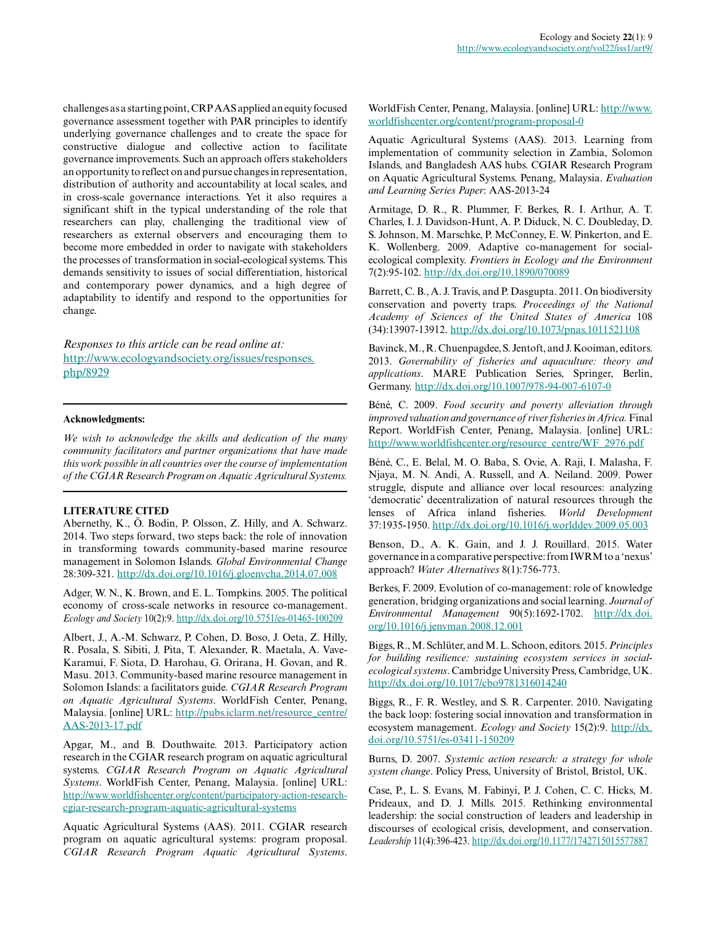challenges as a starting point, CRP AAS applied an equity focused governance assessment together with PAR principles to identify underlying governance challenges and to create the space for constructive dialogue and collective action to facilitate governance improvements. Such an approach offers stakeholders an opportunity to reflect on and pursue changes in representation, distribution of authority and accountability at local scales, and in cross-scale governance interactions. Yet it also requires a significant shift in the typical understanding of the role that researchers can play, challenging the traditional view of researchers as external observers and encouraging them to become more embedded in order to navigate with stakeholders the processes of transformation in social-ecological systems. This demands sensitivity to issues of social differentiation, historical and contemporary power dynamics, and a high degree of adaptability to identify and respond to the opportunities for change.

*Responses to this article can be read online at:* [http://www.ecologyandsociety.org/issues/responses.](http://www.ecologyandsociety.org/issues/responses.php/8929) [php/8929](http://www.ecologyandsociety.org/issues/responses.php/8929)

#### **Acknowledgments:**

*We wish to acknowledge the skills and dedication of the many community facilitators and partner organizations that have made this work possible in all countries over the course of implementation of the CGIAR Research Program on Aquatic Agricultural Systems.*

## **LITERATURE CITED**

Abernethy, K., Ö. Bodin, P. Olsson, Z. Hilly, and A. Schwarz. 2014. Two steps forward, two steps back: the role of innovation in transforming towards community-based marine resource management in Solomon Islands. *Global Environmental Change* 28:309-321. [http://dx.doi.org/10.1016/j.gloenvcha.2014.07.008](http://dx.doi.org/10.1016%2Fj.gloenvcha.2014.07.008)

Adger, W. N., K. Brown, and E. L. Tompkins. 2005. The political economy of cross-scale networks in resource co-management. *Ecology and Society* 10(2):9. [http://dx.doi.org/10.5751/es-01465-100209](http://dx.doi.org/10.5751%2Fes-01465-100209)

Albert, J., A.-M. Schwarz, P. Cohen, D. Boso, J. Oeta, Z. Hilly, R. Posala, S. Sibiti, J. Pita, T. Alexander, R. Maetala, A. Vave-Karamui, F. Siota, D. Harohau, G. Orirana, H. Govan, and R. Masu. 2013. Community-based marine resource management in Solomon Islands: a facilitators guide. *CGIAR Research Program on Aquatic Agricultural Systems*. WorldFish Center, Penang, Malaysia. [online] URL: [http://pubs.iclarm.net/resource\\_centre/](http://pubs.iclarm.net/resource_centre/AAS-2013-17.pdf) [AAS-2013-17.pdf](http://pubs.iclarm.net/resource_centre/AAS-2013-17.pdf)

Apgar, M., and B. Douthwaite. 2013. Participatory action research in the CGIAR research program on aquatic agricultural systems. *CGIAR Research Program on Aquatic Agricultural Systems*. WorldFish Center, Penang, Malaysia. [online] URL: [http://www.worldfishcenter.org/content/participatory-action-research](http://www.worldfishcenter.org/content/participatory-action-research-cgiar-research-program-aquatic-agricultural-systems)[cgiar-research-program-aquatic-agricultural-systems](http://www.worldfishcenter.org/content/participatory-action-research-cgiar-research-program-aquatic-agricultural-systems) 

Aquatic Agricultural Systems (AAS). 2011. CGIAR research program on aquatic agricultural systems: program proposal. *CGIAR Research Program Aquatic Agricultural Systems*.

WorldFish Center, Penang, Malaysia. [online] URL: [http://www.](http://www.worldfishcenter.org/content/program-proposal-0) [worldfishcenter.org/content/program-proposal-0](http://www.worldfishcenter.org/content/program-proposal-0)

Aquatic Agricultural Systems (AAS). 2013. Learning from implementation of community selection in Zambia, Solomon Islands, and Bangladesh AAS hubs. CGIAR Research Program on Aquatic Agricultural Systems. Penang, Malaysia. *Evaluation and Learning Series Paper*: AAS-2013-24

Armitage, D. R., R. Plummer, F. Berkes, R. I. Arthur, A. T. Charles, I. J. Davidson-Hunt, A. P. Diduck, N. C. Doubleday, D. S. Johnson, M. Marschke, P. McConney, E. W. Pinkerton, and E. K. Wollenberg. 2009. Adaptive co-management for socialecological complexity. *Frontiers in Ecology and the Environment* 7(2):95-102. [http://dx.doi.org/10.1890/070089](http://dx.doi.org/10.1890%2F070089) 

Barrett, C. B., A. J. Travis, and P. Dasgupta. 2011. On biodiversity conservation and poverty traps. *Proceedings of the National Academy of Sciences of the United States of America* 108 (34):13907-13912. [http://dx.doi.org/10.1073/pnas.1011521108](http://dx.doi.org/10.1073%2Fpnas.1011521108)

Bavinck, M., R. Chuenpagdee, S. Jentoft, and J. Kooiman, editors. 2013. *Governability of fisheries and aquaculture: theory and applications*. MARE Publication Series, Springer, Berlin, Germany. [http://dx.doi.org/10.1007/978-94-007-6107-0](http://dx.doi.org/10.1007%2F978-94-007-6107-0)

Béné, C. 2009. *Food security and poverty alleviation through improved valuation and governance of river fisheries in Africa.* Final Report. WorldFish Center, Penang, Malaysia. [online] URL: [http://www.worldfishcenter.org/resource\\_centre/WF\\_2976.pdf](http://www.worldfishcenter.org/resource_centre/WF_2976.pdf)

Béné, C., E. Belal, M. O. Baba, S. Ovie, A. Raji, I. Malasha, F. Njaya, M. N. Andi, A. Russell, and A. Neiland. 2009. Power struggle, dispute and alliance over local resources: analyzing 'democratic' decentralization of natural resources through the lenses of Africa inland fisheries. *World Development* 37:1935-1950. [http://dx.doi.org/10.1016/j.worlddev.2009.05.003](http://dx.doi.org/10.1016%2Fj.worlddev.2009.05.003)

Benson, D., A. K. Gain, and J. J. Rouillard. 2015. Water governance in a comparative perspective: from IWRM to a 'nexus' approach? *Water Alternatives* 8(1):756-773.

Berkes, F. 2009. Evolution of co-management: role of knowledge generation, bridging organizations and social learning. *Journal of Environmental Management* 90(5):1692-1702. [http://dx.doi.](http://dx.doi.org/10.1016%2Fj.jenvman.2008.12.001) [org/10.1016/j.jenvman.2008.12.001](http://dx.doi.org/10.1016%2Fj.jenvman.2008.12.001)

Biggs, R., M. Schlüter, and M. L. Schoon, editors. 2015. *Principles for building resilience: sustaining ecosystem services in socialecological systems*. Cambridge University Press, Cambridge, UK. [http://dx.doi.org/10.1017/cbo9781316014240](http://dx.doi.org/10.1017%2Fcbo9781316014240) 

Biggs, R., F. R. Westley, and S. R. Carpenter. 2010. Navigating the back loop: fostering social innovation and transformation in ecosystem management. *Ecology and Society* 15(2):9. [http://dx.](http://dx.doi.org/10.5751%2Fes-03411-150209) [doi.org/10.5751/es-03411-150209](http://dx.doi.org/10.5751%2Fes-03411-150209) 

Burns, D. 2007. *Systemic action research: a strategy for whole system change*. Policy Press, University of Bristol, Bristol, UK.

Case, P., L. S. Evans, M. Fabinyi, P. J. Cohen, C. C. Hicks, M. Prideaux, and D. J. Mills. 2015. Rethinking environmental leadership: the social construction of leaders and leadership in discourses of ecological crisis, development, and conservation. *Leadership* 11(4):396-423. [http://dx.doi.org/10.1177/1742715015577887](http://dx.doi.org/10.1177%2F1742715015577887)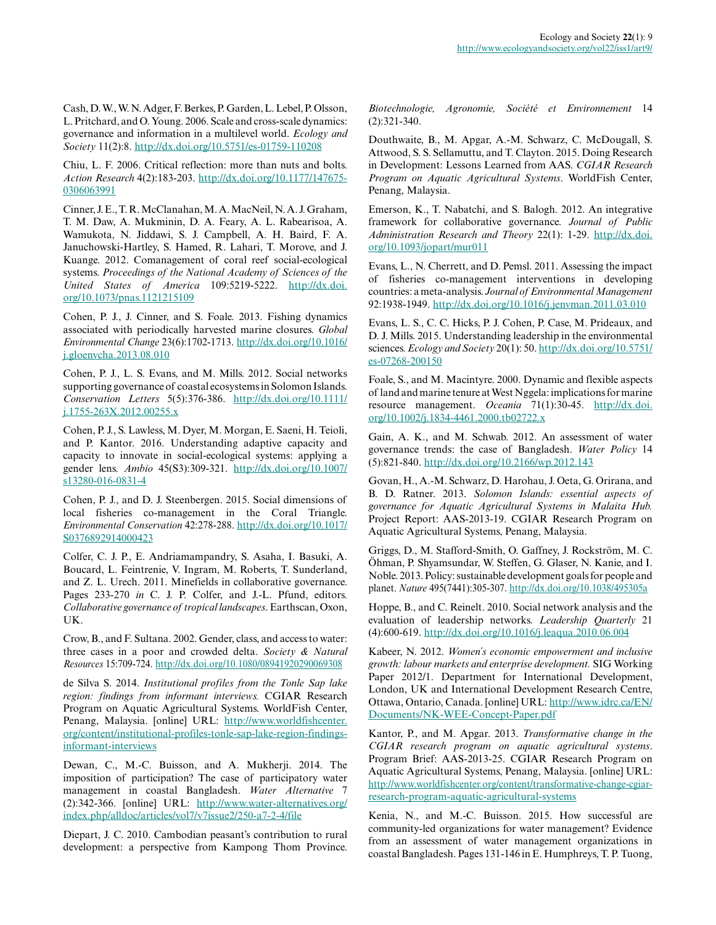Cash, D. W., W. N. Adger, F. Berkes, P. Garden, L. Lebel, P. Olsson, L. Pritchard, and O. Young. 2006. Scale and cross-scale dynamics: governance and information in a multilevel world. *Ecology and Society* 11(2):8. [http://dx.doi.org/10.5751/es-01759-110208](http://dx.doi.org/10.5751%2Fes-01759-110208)

Chiu, L. F. 2006. Critical reflection: more than nuts and bolts. *Action Research* 4(2):183-203. [http://dx.doi.org/10.1177/147675](http://dx.doi.org/10.1177%2F1476750306063991) [0306063991](http://dx.doi.org/10.1177%2F1476750306063991)

Cinner, J. E., T. R. McClanahan, M. A. MacNeil, N. A. J. Graham, T. M. Daw, A. Mukminin, D. A. Feary, A. L. Rabearisoa, A. Wamukota, N. Jiddawi, S. J. Campbell, A. H. Baird, F. A. Januchowski-Hartley, S. Hamed, R. Lahari, T. Morove, and J. Kuange. 2012. Comanagement of coral reef social-ecological systems. *Proceedings of the National Academy of Sciences of the United States of America* 109:5219-5222. [http://dx.doi.](http://dx.doi.org/10.1073%2Fpnas.1121215109) [org/10.1073/pnas.1121215109](http://dx.doi.org/10.1073%2Fpnas.1121215109) 

Cohen, P. J., J. Cinner, and S. Foale. 2013. Fishing dynamics associated with periodically harvested marine closures. *Global Environmental Change* 23(6):1702-1713. [http://dx.doi.org/10.1016/](http://dx.doi.org/10.1016%2Fj.gloenvcha.2013.08.010) [j.gloenvcha.2013.08.010](http://dx.doi.org/10.1016%2Fj.gloenvcha.2013.08.010) 

Cohen, P. J., L. S. Evans, and M. Mills. 2012. Social networks supporting governance of coastal ecosystems in Solomon Islands. *Conservation Letters* 5(5):376-386. [http://dx.doi.org/10.1111/](http://dx.doi.org/10.1111%2Fj.1755-263X.2012.00255.x) [j.1755-263X.2012.00255.x](http://dx.doi.org/10.1111%2Fj.1755-263X.2012.00255.x) 

Cohen, P. J., S. Lawless, M. Dyer, M. Morgan, E. Saeni, H. Teioli, and P. Kantor. 2016. Understanding adaptive capacity and capacity to innovate in social-ecological systems: applying a gender lens. *Ambio* 45(S3):309-321. [http://dx.doi.org/10.1007/](http://dx.doi.org/10.1007%2Fs13280-016-0831-4) [s13280-016-0831-4](http://dx.doi.org/10.1007%2Fs13280-016-0831-4) 

Cohen, P. J., and D. J. Steenbergen. 2015. Social dimensions of local fisheries co-management in the Coral Triangle. *Environmental Conservation* 42:278-288. [http://dx.doi.org/10.1017/](http://dx.doi.org/10.1017%2FS0376892914000423) [S0376892914000423](http://dx.doi.org/10.1017%2FS0376892914000423) 

Colfer, C. J. P., E. Andriamampandry, S. Asaha, I. Basuki, A. Boucard, L. Feintrenie, V. Ingram, M. Roberts, T. Sunderland, and Z. L. Urech. 2011. Minefields in collaborative governance. Pages 233-270 *in* C. J. P. Colfer, and J.-L. Pfund, editors. *Collaborative governance of tropical landscapes*. Earthscan, Oxon, UK.

Crow, B., and F. Sultana. 2002. Gender, class, and access to water: three cases in a poor and crowded delta. *Society & Natural Resources* 15:709-724. [http://dx.doi.org/10.1080/08941920290069308](http://dx.doi.org/10.1080%2F08941920290069308) 

de Silva S. 2014. *Institutional profiles from the Tonle Sap lake region: findings from informant interviews.* CGIAR Research Program on Aquatic Agricultural Systems. WorldFish Center, Penang, Malaysia. [online] URL: [http://www.worldfishcenter.](http://www.worldfishcenter.org/content/institutional-profiles-tonle-sap-lake-region-findings-informant-interviews) [org/content/institutional-profiles-tonle-sap-lake-region-findings](http://www.worldfishcenter.org/content/institutional-profiles-tonle-sap-lake-region-findings-informant-interviews)[informant-interviews](http://www.worldfishcenter.org/content/institutional-profiles-tonle-sap-lake-region-findings-informant-interviews)

Dewan, C., M.-C. Buisson, and A. Mukherji. 2014. The imposition of participation? The case of participatory water management in coastal Bangladesh. *Water Alternative* 7 (2):342-366. [online] URL: [http://www.water-alternatives.org/](http://www.water-alternatives.org/index.php/alldoc/articles/vol7/v7issue2/250-a7-2-4/file) [index.php/alldoc/articles/vol7/v7issue2/250-a7-2-4/file](http://www.water-alternatives.org/index.php/alldoc/articles/vol7/v7issue2/250-a7-2-4/file) 

Diepart, J. C. 2010. Cambodian peasant's contribution to rural development: a perspective from Kampong Thom Province.

*Biotechnologie, Agronomie, Société et Environnement* 14 (2):321-340.

Douthwaite, B., M. Apgar, A.-M. Schwarz, C. McDougall, S. Attwood, S. S. Sellamuttu, and T. Clayton. 2015. Doing Research in Development: Lessons Learned from AAS. *CGIAR Research Program on Aquatic Agricultural Systems*. WorldFish Center, Penang, Malaysia.

Emerson, K., T. Nabatchi, and S. Balogh. 2012. An integrative framework for collaborative governance. *Journal of Public Administration Research and Theory* 22(1): 1-29. [http://dx.doi.](http://dx.doi.org/10.1093%2Fjopart%2Fmur011) [org/10.1093/jopart/mur011](http://dx.doi.org/10.1093%2Fjopart%2Fmur011)

Evans, L., N. Cherrett, and D. Pemsl. 2011. Assessing the impact of fisheries co-management interventions in developing countries: a meta-analysis. *Journal of Environmental Management* 92:1938-1949. [http://dx.doi.org/10.1016/j.jenvman.2011.03.010](http://dx.doi.org/10.1016%2Fj.jenvman.2011.03.010) 

Evans, L. S., C. C. Hicks, P. J. Cohen, P. Case, M. Prideaux, and D. J. Mills. 2015. Understanding leadership in the environmental sciences. *Ecology and Society* 20(1): 50. [http://dx.doi.org/10.5751/](http://dx.doi.org/10.5751%2Fes-07268-200150) [es-07268-200150](http://dx.doi.org/10.5751%2Fes-07268-200150) 

Foale, S., and M. Macintyre. 2000. Dynamic and flexible aspects of land and marine tenure at West Nggela: implications for marine resource management. *Oceania* 71(1):30-45. [http://dx.doi.](http://dx.doi.org/10.1002%2Fj.1834-4461.2000.tb02722.x) [org/10.1002/j.1834-4461.2000.tb02722.x](http://dx.doi.org/10.1002%2Fj.1834-4461.2000.tb02722.x)

Gain, A. K., and M. Schwab. 2012. An assessment of water governance trends: the case of Bangladesh. *Water Policy* 14 (5):821-840. [http://dx.doi.org/10.2166/wp.2012.143](http://dx.doi.org/10.2166%2Fwp.2012.143)

Govan, H., A.-M. Schwarz, D. Harohau, J. Oeta, G. Orirana, and B. D. Ratner. 2013. *Solomon Islands: essential aspects of governance for Aquatic Agricultural Systems in Malaita Hub.* Project Report: AAS-2013-19. CGIAR Research Program on Aquatic Agricultural Systems, Penang, Malaysia.

Griggs, D., M. Stafford-Smith, O. Gaffney, J. Rockström, M. C. Öhman, P. Shyamsundar, W. Steffen, G. Glaser, N. Kanie, and I. Noble. 2013. Policy: sustainable development goals for people and planet. *Nature* 495(7441):305-307. [http://dx.doi.org/10.1038/495305a](http://dx.doi.org/10.1038%2F495305a) 

Hoppe, B., and C. Reinelt. 2010. Social network analysis and the evaluation of leadership networks. *Leadership Quarterly* 21 (4):600-619. [http://dx.doi.org/10.1016/j.leaqua.2010.06.004](http://dx.doi.org/10.1016%2Fj.leaqua.2010.06.004) 

Kabeer, N. 2012. *Women's economic empowerment and inclusive growth: labour markets and enterprise development.* SIG Working Paper 2012/1. Department for International Development, London, UK and International Development Research Centre, Ottawa, Ontario, Canada. [online] URL: [http://www.idrc.ca/EN/](http://www.idrc.ca/EN/Documents/NK-WEE-Concept-Paper.pdf) [Documents/NK-WEE-Concept-Paper.pdf](http://www.idrc.ca/EN/Documents/NK-WEE-Concept-Paper.pdf)

Kantor, P., and M. Apgar. 2013. *Transformative change in the CGIAR research program on aquatic agricultural systems*. Program Brief: AAS-2013-25. CGIAR Research Program on Aquatic Agricultural Systems, Penang, Malaysia. [online] URL: [http://www.worldfishcenter.org/content/transformative-change-cgiar](http://www.worldfishcenter.org/content/transformative-change-cgiar-research-program-aquatic-agricultural-systems)[research-program-aquatic-agricultural-systems](http://www.worldfishcenter.org/content/transformative-change-cgiar-research-program-aquatic-agricultural-systems) 

Kenia, N., and M.-C. Buisson. 2015. How successful are community-led organizations for water management? Evidence from an assessment of water management organizations in coastal Bangladesh. Pages 131-146 in E. Humphreys, T. P. Tuong,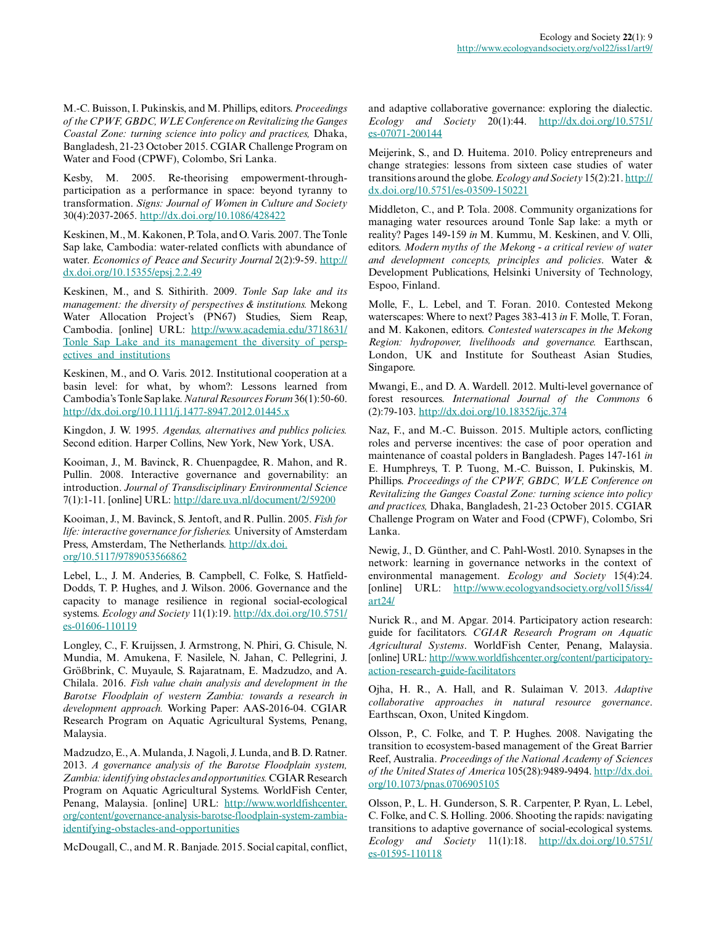M.-C. Buisson, I. Pukinskis, and M. Phillips, editors. *Proceedings of the CPWF, GBDC, WLE Conference on Revitalizing the Ganges Coastal Zone: turning science into policy and practices,* Dhaka, Bangladesh, 21-23 October 2015. CGIAR Challenge Program on Water and Food (CPWF), Colombo, Sri Lanka.

Kesby, M. 2005. Re-theorising empowerment-throughparticipation as a performance in space: beyond tyranny to transformation. *Signs: Journal of Women in Culture and Society* 30(4):2037-2065. [http://dx.doi.org/10.1086/428422](http://dx.doi.org/10.1086%2F428422) 

Keskinen, M., M. Kakonen, P. Tola, and O. Varis. 2007. The Tonle Sap lake, Cambodia: water-related conflicts with abundance of water. *Economics of Peace and Security Journal* 2(2):9-59. [http://](http://dx.doi.org/10.15355%2Fepsj.2.2.49) [dx.doi.org/10.15355/epsj.2.2.49](http://dx.doi.org/10.15355%2Fepsj.2.2.49) 

Keskinen, M., and S. Sithirith. 2009. *Tonle Sap lake and its management: the diversity of perspectives & institutions.* Mekong Water Allocation Project's (PN67) Studies, Siem Reap, Cambodia. [online] URL: [http://www.academia.edu/3718631/](http://www.academia.edu/3718631/Tonle_Sap_Lake_and_its_management_the_diversity_of_perspectives_and_institutions) Tonle Sap Lake and its management the diversity of persp[ectives\\_and\\_institutions](http://www.academia.edu/3718631/Tonle_Sap_Lake_and_its_management_the_diversity_of_perspectives_and_institutions) 

Keskinen, M., and O. Varis. 2012. Institutional cooperation at a basin level: for what, by whom?: Lessons learned from Cambodia's Tonle Sap lake. *Natural Resources Forum* 36(1):50-60. [http://dx.doi.org/10.1111/j.1477-8947.2012.01445.x](http://dx.doi.org/10.1111%2Fj.1477-8947.2012.01445.x) 

Kingdon, J. W. 1995. *Agendas, alternatives and publics policies.* Second edition. Harper Collins, New York, New York, USA.

Kooiman, J., M. Bavinck, R. Chuenpagdee, R. Mahon, and R. Pullin. 2008. Interactive governance and governability: an introduction. *Journal of Transdisciplinary Environmental Science* 7(1):1-11. [online] URL: <http://dare.uva.nl/document/2/59200>

Kooiman, J., M. Bavinck, S. Jentoft, and R. Pullin. 2005. *Fish for life: interactive governance for fisheries.* University of Amsterdam Press, Amsterdam, The Netherlands. [http://dx.doi.](http://dx.doi.org/10.5117%2F9789053566862) [org/10.5117/9789053566862](http://dx.doi.org/10.5117%2F9789053566862) 

Lebel, L., J. M. Anderies, B. Campbell, C. Folke, S. Hatfield-Dodds, T. P. Hughes, and J. Wilson. 2006. Governance and the capacity to manage resilience in regional social-ecological systems. *Ecology and Society* 11(1):19. [http://dx.doi.org/10.5751/](http://dx.doi.org/10.5751%2Fes-01606-110119) [es-01606-110119](http://dx.doi.org/10.5751%2Fes-01606-110119) 

Longley, C., F. Kruijssen, J. Armstrong, N. Phiri, G. Chisule, N. Mundia, M. Amukena, F. Nasilele, N. Jahan, C. Pellegrini, J. Größbrink, C. Muyaule, S. Rajaratnam, E. Madzudzo, and A. Chilala. 2016. *Fish value chain analysis and development in the Barotse Floodplain of western Zambia: towards a research in development approach.* Working Paper: AAS-2016-04. CGIAR Research Program on Aquatic Agricultural Systems, Penang, Malaysia.

Madzudzo, E., A. Mulanda, J. Nagoli, J. Lunda, and B. D. Ratner. 2013. *A governance analysis of the Barotse Floodplain system, Zambia: identifying obstacles and opportunities.* CGIAR Research Program on Aquatic Agricultural Systems. WorldFish Center, Penang, Malaysia. [online] URL: [http://www.worldfishcenter.](http://www.worldfishcenter.org/content/governance-analysis-barotse-floodplain-system-zambia-identifying-obstacles-and-opportunities) [org/content/governance-analysis-barotse-floodplain-system-zambia](http://www.worldfishcenter.org/content/governance-analysis-barotse-floodplain-system-zambia-identifying-obstacles-and-opportunities)[identifying-obstacles-and-opportunities](http://www.worldfishcenter.org/content/governance-analysis-barotse-floodplain-system-zambia-identifying-obstacles-and-opportunities) 

McDougall, C., and M. R. Banjade. 2015. Social capital, conflict,

and adaptive collaborative governance: exploring the dialectic. *Ecology and Society* 20(1):44. [http://dx.doi.org/10.5751/](http://dx.doi.org/10.5751%2Fes-07071-200144) [es-07071-200144](http://dx.doi.org/10.5751%2Fes-07071-200144) 

Meijerink, S., and D. Huitema. 2010. Policy entrepreneurs and change strategies: lessons from sixteen case studies of water transitions around the globe. *Ecology and Society* 15(2):21. [http://](http://dx.doi.org/10.5751%2Fes-03509-150221) [dx.doi.org/10.5751/es-03509-150221](http://dx.doi.org/10.5751%2Fes-03509-150221) 

Middleton, C., and P. Tola. 2008. Community organizations for managing water resources around Tonle Sap lake: a myth or reality? Pages 149-159 *in* M. Kummu, M. Keskinen, and V. Olli, editors. *Modern myths of the Mekong - a critical review of water and development concepts, principles and policies*. Water & Development Publications, Helsinki University of Technology, Espoo, Finland.

Molle, F., L. Lebel, and T. Foran. 2010. Contested Mekong waterscapes: Where to next? Pages 383-413 *in* F. Molle, T. Foran, and M. Kakonen, editors. *Contested waterscapes in the Mekong Region: hydropower, livelihoods and governance.* Earthscan, London, UK and Institute for Southeast Asian Studies, Singapore.

Mwangi, E., and D. A. Wardell. 2012. Multi-level governance of forest resources. *International Journal of the Commons* 6 (2):79-103. [http://dx.doi.org/10.18352/ijc.374](http://dx.doi.org/10.18352%2Fijc.374) 

Naz, F., and M.-C. Buisson. 2015. Multiple actors, conflicting roles and perverse incentives: the case of poor operation and maintenance of coastal polders in Bangladesh. Pages 147-161 *in* E. Humphreys, T. P. Tuong, M.-C. Buisson, I. Pukinskis, M. Phillips. *Proceedings of the CPWF, GBDC, WLE Conference on Revitalizing the Ganges Coastal Zone: turning science into policy and practices,* Dhaka, Bangladesh, 21-23 October 2015. CGIAR Challenge Program on Water and Food (CPWF), Colombo, Sri Lanka.

Newig, J., D. Günther, and C. Pahl-Wostl. 2010. Synapses in the network: learning in governance networks in the context of environmental management. *Ecology and Society* 15(4):24. [online] URL: [http://www.ecologyandsociety.org/vol15/iss4/](http://www.ecologyandsociety.org/vol15/iss4/art24/) [art24/](http://www.ecologyandsociety.org/vol15/iss4/art24/)

Nurick R., and M. Apgar. 2014. Participatory action research: guide for facilitators. *CGIAR Research Program on Aquatic Agricultural Systems*. WorldFish Center, Penang, Malaysia. [online] URL: [http://www.worldfishcenter.org/content/participatory](http://www.worldfishcenter.org/content/participatory-action-research-guide-facilitators)[action-research-guide-facilitators](http://www.worldfishcenter.org/content/participatory-action-research-guide-facilitators) 

Ojha, H. R., A. Hall, and R. Sulaiman V. 2013. *Adaptive collaborative approaches in natural resource governance*. Earthscan, Oxon, United Kingdom.

Olsson, P., C. Folke, and T. P. Hughes. 2008. Navigating the transition to ecosystem-based management of the Great Barrier Reef, Australia. *Proceedings of the National Academy of Sciences of the United States of America* 105(28):9489-9494. [http://dx.doi.](http://dx.doi.org/10.1073%2Fpnas.0706905105) [org/10.1073/pnas.0706905105](http://dx.doi.org/10.1073%2Fpnas.0706905105) 

Olsson, P., L. H. Gunderson, S. R. Carpenter, P. Ryan, L. Lebel, C. Folke, and C. S. Holling. 2006. Shooting the rapids: navigating transitions to adaptive governance of social-ecological systems. *Ecology and Society* 11(1):18. [http://dx.doi.org/10.5751/](http://dx.doi.org/10.5751%2Fes-01595-110118) [es-01595-110118](http://dx.doi.org/10.5751%2Fes-01595-110118)